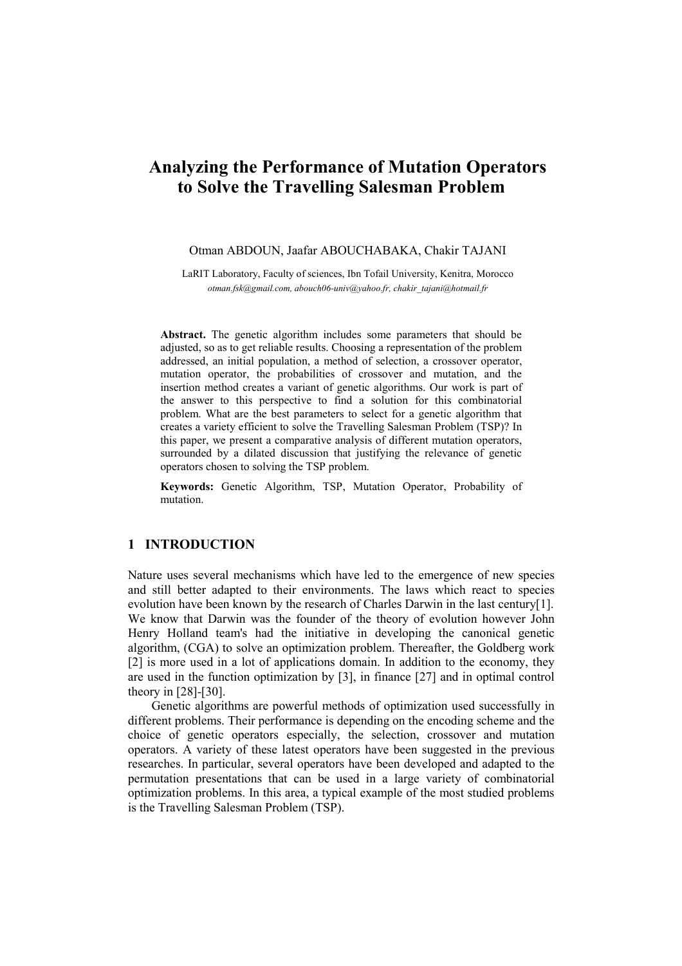# Analyzing the Performance of Mutation Operators to Solve the Travelling Salesman Problem

#### Otman ABDOUN, Jaafar ABOUCHABAKA, Chakir TAJANI

LaRIT Laboratory, Faculty of sciences, Ibn Tofail University, Kenitra, Morocco otman.fsk@gmail.com, abouch06-univ@yahoo.fr, chakir\_tajani@hotmail.fr

Abstract. The genetic algorithm includes some parameters that should be adjusted, so as to get reliable results. Choosing a representation of the problem addressed, an initial population, a method of selection, a crossover operator, mutation operator, the probabilities of crossover and mutation, and the insertion method creates a variant of genetic algorithms. Our work is part of the answer to this perspective to find a solution for this combinatorial problem. What are the best parameters to select for a genetic algorithm that creates a variety efficient to solve the Travelling Salesman Problem (TSP)? In this paper, we present a comparative analysis of different mutation operators, surrounded by a dilated discussion that justifying the relevance of genetic operators chosen to solving the TSP problem.

Keywords: Genetic Algorithm, TSP, Mutation Operator, Probability of mutation.

#### 1 INTRODUCTION

Nature uses several mechanisms which have led to the emergence of new species and still better adapted to their environments. The laws which react to species evolution have been known by the research of Charles Darwin in the last century[1]. We know that Darwin was the founder of the theory of evolution however John Henry Holland team's had the initiative in developing the canonical genetic algorithm, (CGA) to solve an optimization problem. Thereafter, the Goldberg work [2] is more used in a lot of applications domain. In addition to the economy, they are used in the function optimization by [3], in finance [27] and in optimal control theory in [28]-[30].

 Genetic algorithms are powerful methods of optimization used successfully in different problems. Their performance is depending on the encoding scheme and the choice of genetic operators especially, the selection, crossover and mutation operators. A variety of these latest operators have been suggested in the previous researches. In particular, several operators have been developed and adapted to the permutation presentations that can be used in a large variety of combinatorial optimization problems. In this area, a typical example of the most studied problems is the Travelling Salesman Problem (TSP).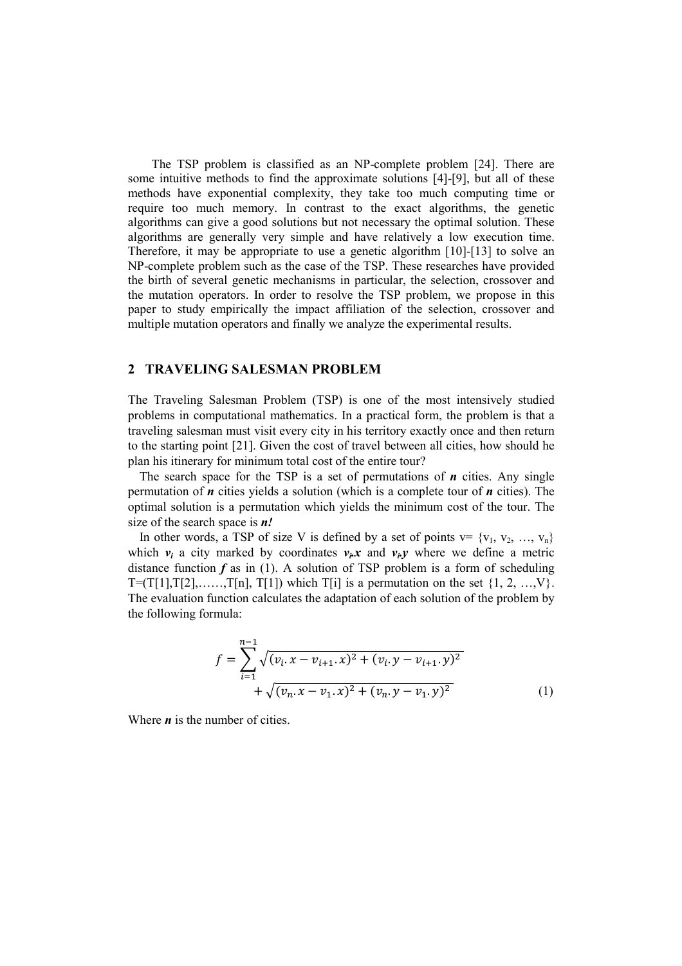The TSP problem is classified as an NP-complete problem [24]. There are some intuitive methods to find the approximate solutions [4]-[9], but all of these methods have exponential complexity, they take too much computing time or require too much memory. In contrast to the exact algorithms, the genetic algorithms can give a good solutions but not necessary the optimal solution. These algorithms are generally very simple and have relatively a low execution time. Therefore, it may be appropriate to use a genetic algorithm [10]-[13] to solve an NP-complete problem such as the case of the TSP. These researches have provided the birth of several genetic mechanisms in particular, the selection, crossover and the mutation operators. In order to resolve the TSP problem, we propose in this paper to study empirically the impact affiliation of the selection, crossover and multiple mutation operators and finally we analyze the experimental results.

## 2 TRAVELING SALESMAN PROBLEM

The Traveling Salesman Problem (TSP) is one of the most intensively studied problems in computational mathematics. In a practical form, the problem is that a traveling salesman must visit every city in his territory exactly once and then return to the starting point [21]. Given the cost of travel between all cities, how should he plan his itinerary for minimum total cost of the entire tour?

The search space for the TSP is a set of permutations of  $n$  cities. Any single permutation of  $n$  cities yields a solution (which is a complete tour of  $n$  cities). The optimal solution is a permutation which yields the minimum cost of the tour. The size of the search space is  $n!$ 

In other words, a TSP of size V is defined by a set of points  $v = \{v_1, v_2, ..., v_n\}$ which  $v_i$  a city marked by coordinates  $v_i x$  and  $v_i y$  where we define a metric distance function  $f$  as in (1). A solution of TSP problem is a form of scheduling  $T=(T[1],T[2],\ldots,T[n],T[1])$  which  $T[i]$  is a permutation on the set  $\{1, 2, \ldots, V\}$ . The evaluation function calculates the adaptation of each solution of the problem by the following formula:

$$
f = \sum_{i=1}^{n-1} \sqrt{(v_i \cdot x - v_{i+1} \cdot x)^2 + (v_i \cdot y - v_{i+1} \cdot y)^2} + \sqrt{(v_n \cdot x - v_1 \cdot x)^2 + (v_n \cdot y - v_1 \cdot y)^2}
$$
(1)

Where  $\boldsymbol{n}$  is the number of cities.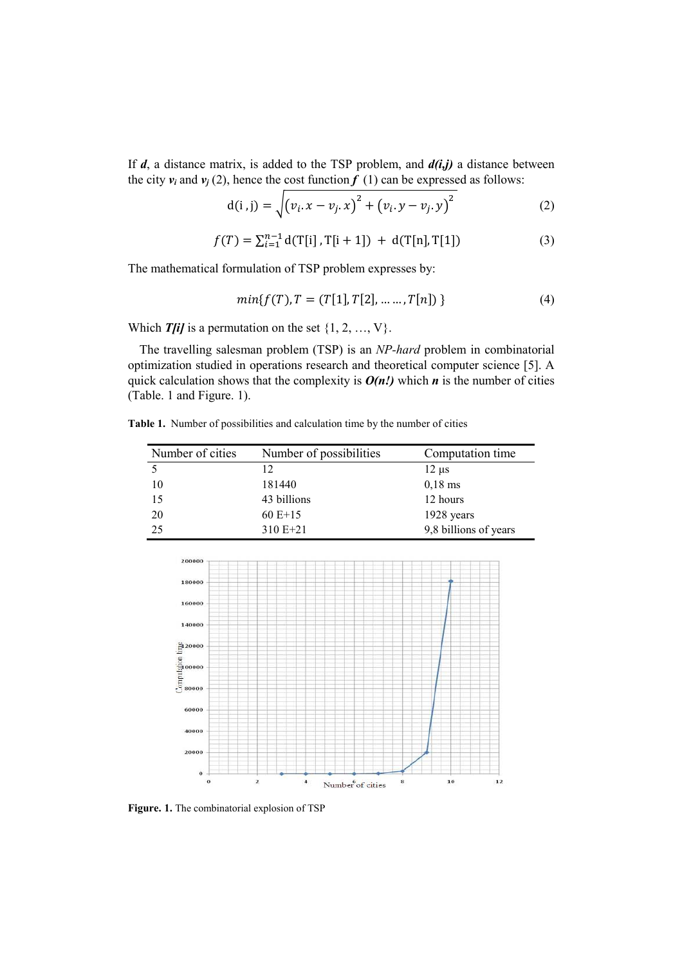If  $d$ , a distance matrix, is added to the TSP problem, and  $d(i,j)$  a distance between the city  $v_i$  and  $v_j$  (2), hence the cost function  $f(1)$  can be expressed as follows:

$$
d(i,j) = \sqrt{(v_i \cdot x - v_j \cdot x)^2 + (v_i \cdot y - v_j \cdot y)^2}
$$
 (2)

$$
f(T) = \sum_{i=1}^{n-1} d(T[i], T[i+1]) + d(T[n], T[1])
$$
\n(3)

The mathematical formulation of TSP problem expresses by:

$$
min{f(T), T = (T[1], T[2], \dots, T[n])}
$$
\n(4)

Which  $T[i]$  is a permutation on the set  $\{1, 2, ..., V\}$ .

The travelling salesman problem (TSP) is an NP-hard problem in combinatorial optimization studied in operations research and theoretical computer science [5]. A quick calculation shows that the complexity is  $O(n!)$  which n is the number of cities (Table. 1 and Figure. 1).

Table 1. Number of possibilities and calculation time by the number of cities

| Number of cities | Number of possibilities | Computation time      |  |
|------------------|-------------------------|-----------------------|--|
|                  | 12                      | $12 \mu s$            |  |
| 10               | 181440                  | $0,18$ ms             |  |
| 15               | 43 billions             | 12 hours              |  |
| 20               | $60E+15$                | 1928 years            |  |
| 25               | $310E+21$               | 9,8 billions of years |  |



Figure. 1. The combinatorial explosion of TSP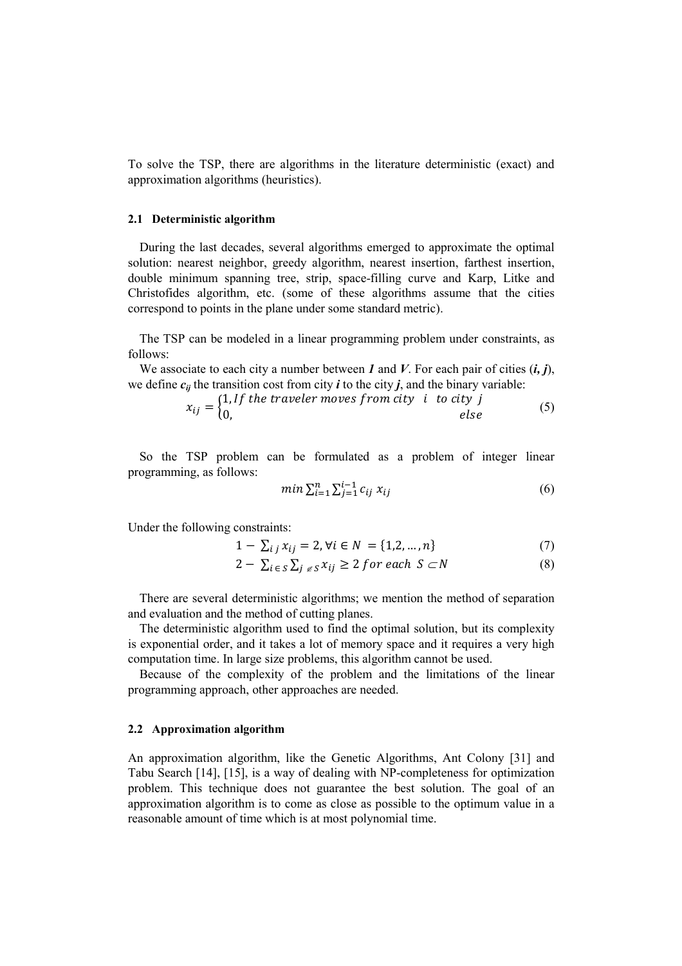To solve the TSP, there are algorithms in the literature deterministic (exact) and approximation algorithms (heuristics).

#### 2.1 Deterministic algorithm

During the last decades, several algorithms emerged to approximate the optimal solution: nearest neighbor, greedy algorithm, nearest insertion, farthest insertion, double minimum spanning tree, strip, space-filling curve and Karp, Litke and Christofides algorithm, etc. (some of these algorithms assume that the cities correspond to points in the plane under some standard metric).

The TSP can be modeled in a linear programming problem under constraints, as follows:

We associate to each city a number between  $I$  and  $V$ . For each pair of cities  $(i, j)$ , we define  $c_{ii}$  the transition cost from city *i* to the city *j*, and the binary variable:

$$
x_{ij} = \begin{cases} 1, & \text{if the traveler moves from city } i \text{ to city } j \\ 0, & \text{else} \end{cases} \tag{5}
$$

So the TSP problem can be formulated as a problem of integer linear programming, as follows:

$$
min \sum_{i=1}^{n} \sum_{j=1}^{i-1} c_{ij} \; x_{ij} \tag{6}
$$

Under the following constraints:

$$
1 - \sum_{i \ j} x_{ij} = 2, \forall i \in N = \{1, 2, ..., n\}
$$
 (7)

$$
2 - \sum_{i \in S} \sum_{j \in S} x_{ij} \ge 2 \text{ for each } S \subset N
$$
 (8)

There are several deterministic algorithms; we mention the method of separation and evaluation and the method of cutting planes.

The deterministic algorithm used to find the optimal solution, but its complexity is exponential order, and it takes a lot of memory space and it requires a very high computation time. In large size problems, this algorithm cannot be used.

Because of the complexity of the problem and the limitations of the linear programming approach, other approaches are needed.

#### 2.2 Approximation algorithm

An approximation algorithm, like the Genetic Algorithms, Ant Colony [31] and Tabu Search [14], [15], is a way of dealing with NP-completeness for optimization problem. This technique does not guarantee the best solution. The goal of an approximation algorithm is to come as close as possible to the optimum value in a reasonable amount of time which is at most polynomial time.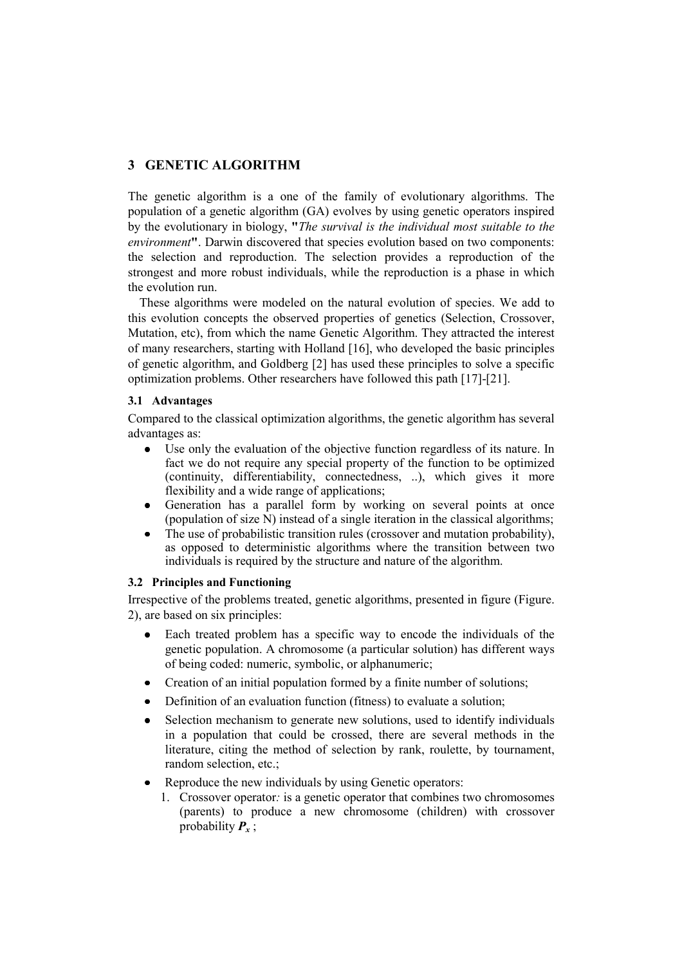# 3 GENETIC ALGORITHM

The genetic algorithm is a one of the family of evolutionary algorithms. The population of a genetic algorithm (GA) evolves by using genetic operators inspired by the evolutionary in biology, "The survival is the individual most suitable to the environment". Darwin discovered that species evolution based on two components: the selection and reproduction. The selection provides a reproduction of the strongest and more robust individuals, while the reproduction is a phase in which the evolution run.

These algorithms were modeled on the natural evolution of species. We add to this evolution concepts the observed properties of genetics (Selection, Crossover, Mutation, etc), from which the name Genetic Algorithm. They attracted the interest of many researchers, starting with Holland [16], who developed the basic principles of genetic algorithm, and Goldberg [2] has used these principles to solve a specific optimization problems. Other researchers have followed this path [17]-[21].

## 3.1 Advantages

Compared to the classical optimization algorithms, the genetic algorithm has several advantages as:

- Use only the evaluation of the objective function regardless of its nature. In fact we do not require any special property of the function to be optimized (continuity, differentiability, connectedness, ..), which gives it more flexibility and a wide range of applications;
- Generation has a parallel form by working on several points at once (population of size N) instead of a single iteration in the classical algorithms;
- The use of probabilistic transition rules (crossover and mutation probability), as opposed to deterministic algorithms where the transition between two individuals is required by the structure and nature of the algorithm.

# 3.2 Principles and Functioning

Irrespective of the problems treated, genetic algorithms, presented in figure (Figure. 2), are based on six principles:

- Each treated problem has a specific way to encode the individuals of the genetic population. A chromosome (a particular solution) has different ways of being coded: numeric, symbolic, or alphanumeric;
- Creation of an initial population formed by a finite number of solutions;
- Definition of an evaluation function (fitness) to evaluate a solution;
- Selection mechanism to generate new solutions, used to identify individuals in a population that could be crossed, there are several methods in the literature, citing the method of selection by rank, roulette, by tournament, random selection, etc.;
- Reproduce the new individuals by using Genetic operators:
	- 1. Crossover operator: is a genetic operator that combines two chromosomes (parents) to produce a new chromosome (children) with crossover probability  $P_{x}$ ;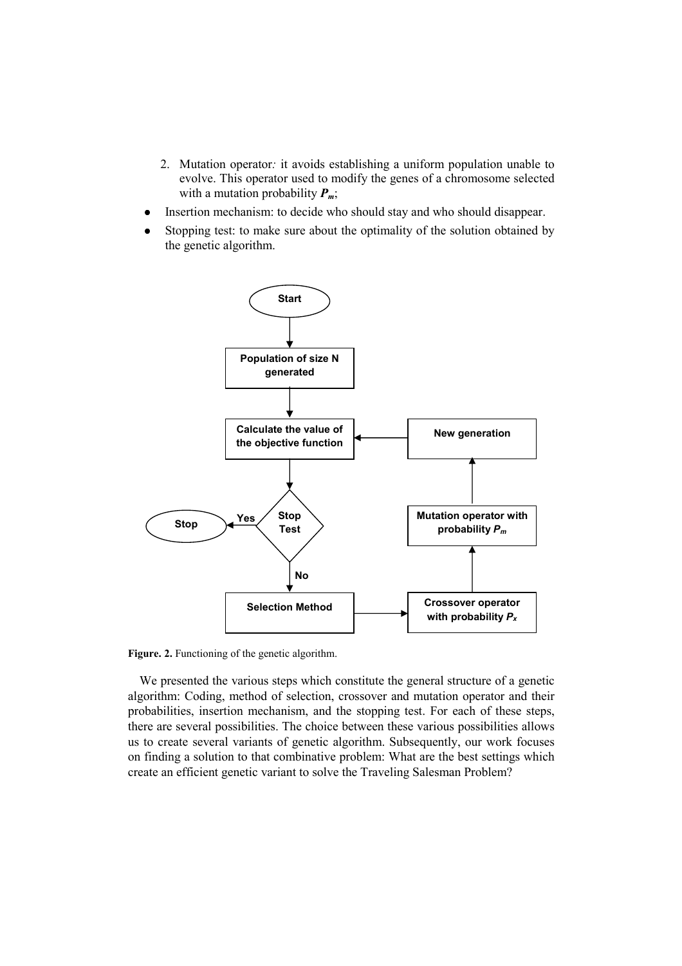- 2. Mutation operator: it avoids establishing a uniform population unable to evolve. This operator used to modify the genes of a chromosome selected with a mutation probability  $P_m$ ;
- Insertion mechanism: to decide who should stay and who should disappear.
- Stopping test: to make sure about the optimality of the solution obtained by the genetic algorithm.



Figure. 2. Functioning of the genetic algorithm.

We presented the various steps which constitute the general structure of a genetic algorithm: Coding, method of selection, crossover and mutation operator and their probabilities, insertion mechanism, and the stopping test. For each of these steps, there are several possibilities. The choice between these various possibilities allows us to create several variants of genetic algorithm. Subsequently, our work focuses on finding a solution to that combinative problem: What are the best settings which create an efficient genetic variant to solve the Traveling Salesman Problem?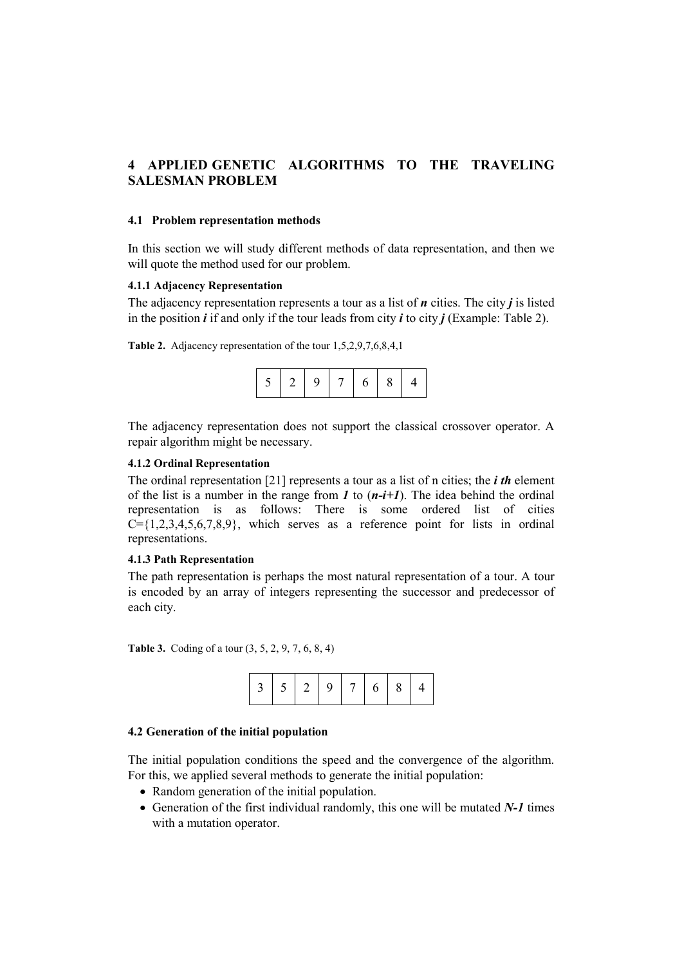# 4 APPLIED GENETIC ALGORITHMS TO THE TRAVELING SALESMAN PROBLEM

## 4.1 Problem representation methods

In this section we will study different methods of data representation, and then we will quote the method used for our problem.

### 4.1.1 Adjacency Representation

The adjacency representation represents a tour as a list of  $n$  cities. The city  $j$  is listed in the position  $\mathbf{i}$  if and only if the tour leads from city  $\mathbf{i}$  to city  $\mathbf{j}$  (Example: Table 2).

Table 2. Adjacency representation of the tour 1,5,2,9,7,6,8,4,1

|  |  | Q |  | b | 8 |  |
|--|--|---|--|---|---|--|
|--|--|---|--|---|---|--|

The adjacency representation does not support the classical crossover operator. A repair algorithm might be necessary.

## 4.1.2 Ordinal Representation

The ordinal representation [21] represents a tour as a list of n cities; the *i* th element of the list is a number in the range from  $I$  to  $(n-i+1)$ . The idea behind the ordinal representation is as follows: There is some ordered list of cities  $C=\{1,2,3,4,5,6,7,8,9\}$ , which serves as a reference point for lists in ordinal representations.

### 4.1.3 Path Representation

The path representation is perhaps the most natural representation of a tour. A tour is encoded by an array of integers representing the successor and predecessor of each city.

Table 3. Coding of a tour (3, 5, 2, 9, 7, 6, 8, 4)



#### 4.2 Generation of the initial population

The initial population conditions the speed and the convergence of the algorithm. For this, we applied several methods to generate the initial population:

- Random generation of the initial population.
- Generation of the first individual randomly, this one will be mutated N-1 times with a mutation operator.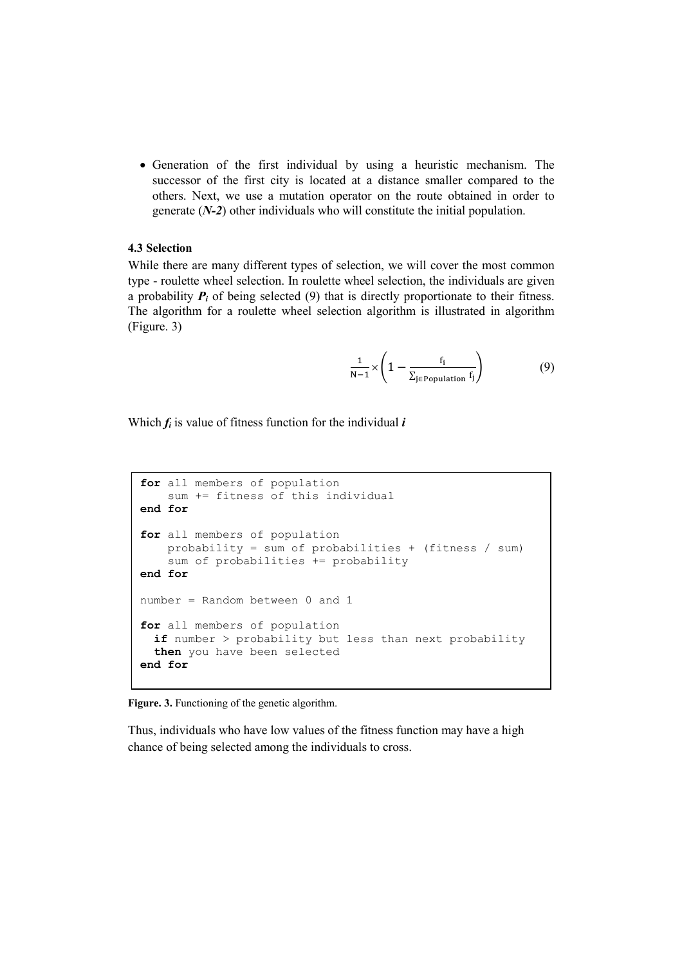• Generation of the first individual by using a heuristic mechanism. The successor of the first city is located at a distance smaller compared to the others. Next, we use a mutation operator on the route obtained in order to generate  $(N-2)$  other individuals who will constitute the initial population.

## 4.3 Selection

While there are many different types of selection, we will cover the most common type - roulette wheel selection. In roulette wheel selection, the individuals are given a probability  $P_i$  of being selected (9) that is directly proportionate to their fitness. The algorithm for a roulette wheel selection algorithm is illustrated in algorithm (Figure. 3)

$$
\frac{1}{N-1} \times \left(1 - \frac{f_i}{\sum_{j \in Population} f_j}\right) \tag{9}
$$

Which  $f_i$  is value of fitness function for the individual  $i$ 

```
for all members of population
     sum += fitness of this individual 
end for 
for all members of population
     probability = sum of probabilities + (fitness / sum) 
     sum of probabilities += probability 
end for
number = Random between 0 and 1 
for all members of population
  if number > probability but less than next probability
  then you have been selected
end for
```
Figure. 3. Functioning of the genetic algorithm.

Thus, individuals who have low values of the fitness function may have a high chance of being selected among the individuals to cross.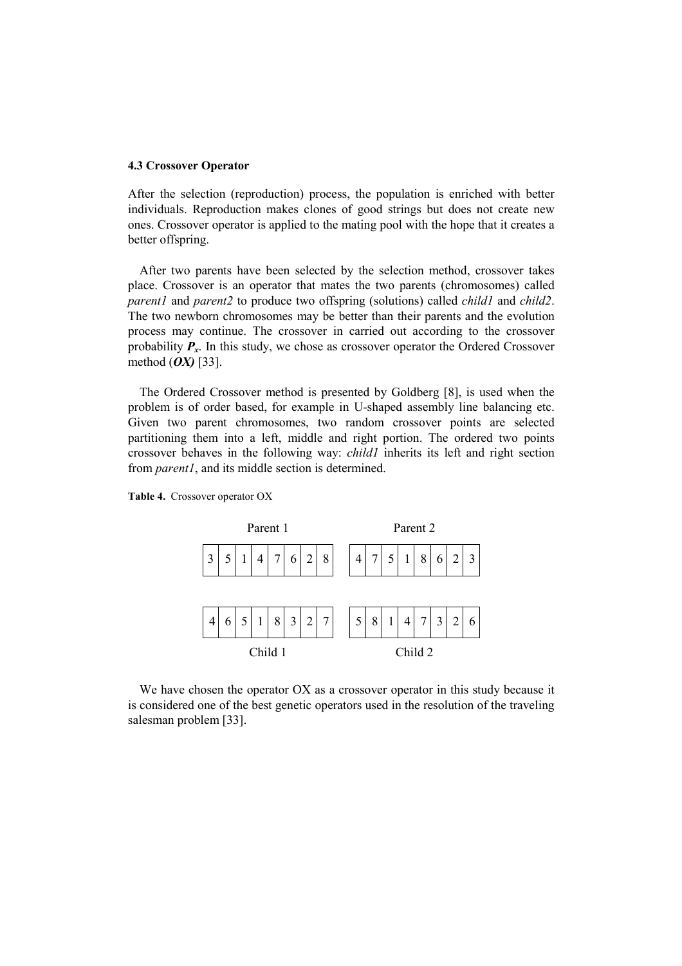## 4.3 Crossover Operator

After the selection (reproduction) process, the population is enriched with better individuals. Reproduction makes clones of good strings but does not create new ones. Crossover operator is applied to the mating pool with the hope that it creates a better offspring.

After two parents have been selected by the selection method, crossover takes place. Crossover is an operator that mates the two parents (chromosomes) called parent1 and parent2 to produce two offspring (solutions) called *child1* and *child2*. The two newborn chromosomes may be better than their parents and the evolution process may continue. The crossover in carried out according to the crossover probability  $P<sub>x</sub>$ . In this study, we chose as crossover operator the Ordered Crossover method  $(OX)$  [33].

The Ordered Crossover method is presented by Goldberg [8], is used when the problem is of order based, for example in U-shaped assembly line balancing etc. Given two parent chromosomes, two random crossover points are selected partitioning them into a left, middle and right portion. The ordered two points crossover behaves in the following way: child1 inherits its left and right section from *parent1*, and its middle section is determined.





We have chosen the operator OX as a crossover operator in this study because it is considered one of the best genetic operators used in the resolution of the traveling salesman problem [33].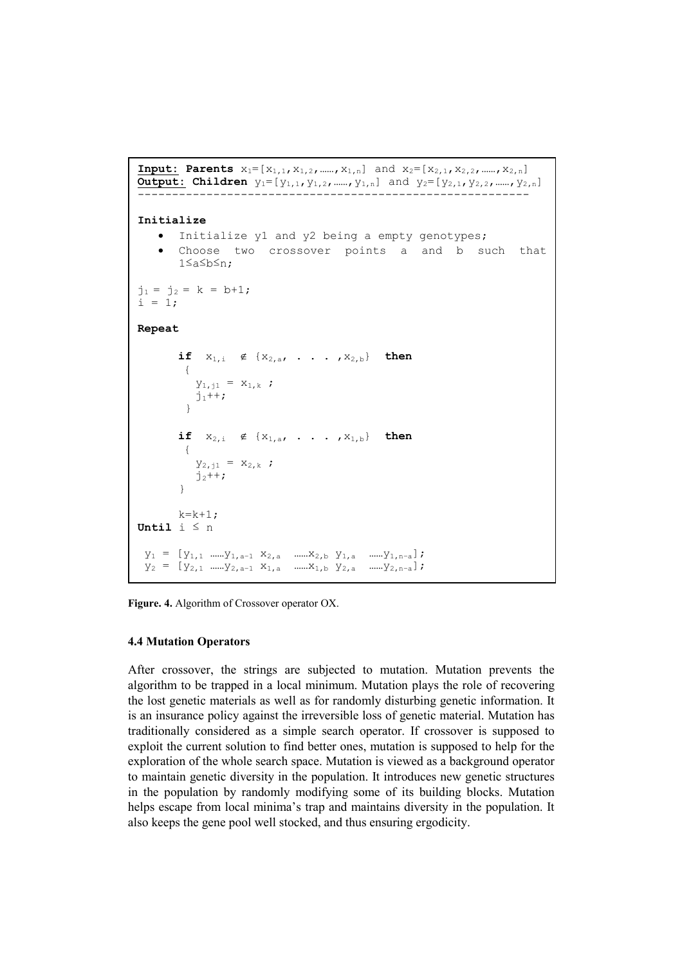```
Input: Parents x_1 = [x_{1,1}, x_{1,2}, \dots, x_{1,n}] and x_2 = [x_{2,1}, x_{2,2}, \dots, x_{2,n}]Output: Children y_1 = [y_{1,1}, y_{1,2}, \dots, y_{1,n}] and y_2 = [y_{2,1}, y_{2,2}, \dots, y_{2,n}]--------------------------------------------------------- 
Initialize 
    • Initialize y1 and y2 being a empty genotypes; 
    • Choose two crossover points a and b such that 
        1≤a≤b≤n; 
j_1 = j_2 = k = b+1;i = 1;Repeat 
        if x_{1,i} \notin \{x_{2,a}, \ldots, x_{2,b}\} then
         { 
           y_{1,j1} = x_{1,k};
           j_1++;
          } 
        if x_{2,i} \notin \{x_{1,a}, \ldots, x_{1,b}\} then
         { 
           y_{2,j1} = x_{2,k};
           j_2++;
 } 
        k=k+1;Until i ≤ n 
y_1 = [y_{1,1} \dots y_{1,a-1} x_{2,a} \dots x_{2,b} y_{1,a} \dots y_{1,n-a}];y_2 = [y_{2,1} \dots y_{2,a-1} x_{1,a} \dots x_{1,b} y_{2,a} \dots y_{2,n-a}];
```
Figure. 4. Algorithm of Crossover operator OX.

## 4.4 Mutation Operators

After crossover, the strings are subjected to mutation. Mutation prevents the algorithm to be trapped in a local minimum. Mutation plays the role of recovering the lost genetic materials as well as for randomly disturbing genetic information. It is an insurance policy against the irreversible loss of genetic material. Mutation has traditionally considered as a simple search operator. If crossover is supposed to exploit the current solution to find better ones, mutation is supposed to help for the exploration of the whole search space. Mutation is viewed as a background operator to maintain genetic diversity in the population. It introduces new genetic structures in the population by randomly modifying some of its building blocks. Mutation helps escape from local minima's trap and maintains diversity in the population. It also keeps the gene pool well stocked, and thus ensuring ergodicity.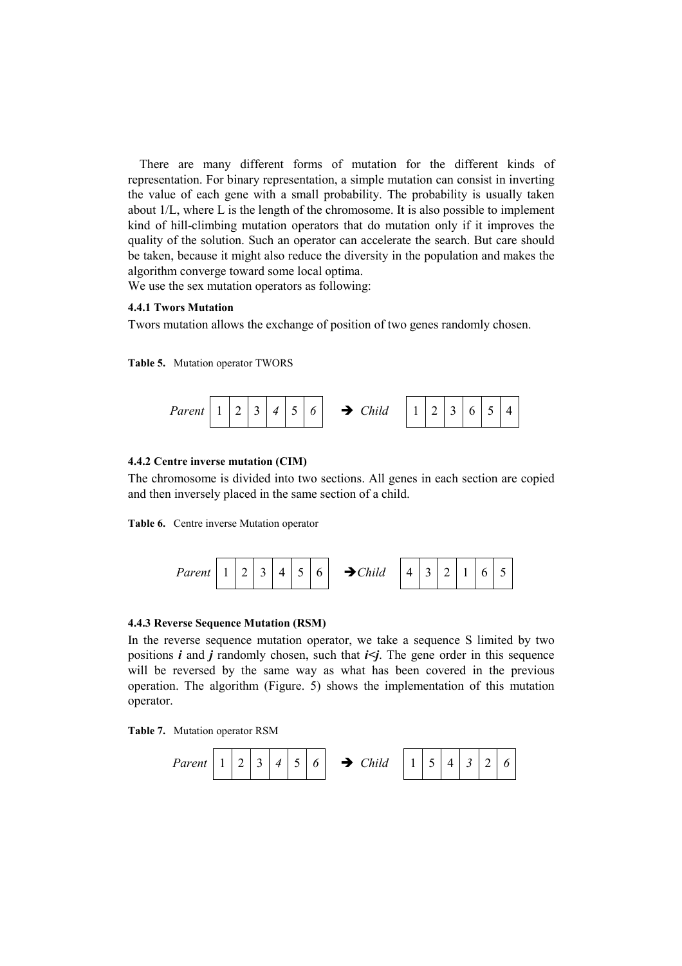There are many different forms of mutation for the different kinds of representation. For binary representation, a simple mutation can consist in inverting the value of each gene with a small probability. The probability is usually taken about 1/L, where L is the length of the chromosome. It is also possible to implement kind of hill-climbing mutation operators that do mutation only if it improves the quality of the solution. Such an operator can accelerate the search. But care should be taken, because it might also reduce the diversity in the population and makes the algorithm converge toward some local optima.

We use the sex mutation operators as following:

## 4.4.1 Twors Mutation

Twors mutation allows the exchange of position of two genes randomly chosen.

Table 5. Mutation operator TWORS



## 4.4.2 Centre inverse mutation (CIM)

The chromosome is divided into two sections. All genes in each section are copied and then inversely placed in the same section of a child.

Table 6. Centre inverse Mutation operator



#### 4.4.3 Reverse Sequence Mutation (RSM)

In the reverse sequence mutation operator, we take a sequence S limited by two positions  $i$  and  $j$  randomly chosen, such that  $i \le j$ . The gene order in this sequence will be reversed by the same way as what has been covered in the previous operation. The algorithm (Figure. 5) shows the implementation of this mutation operator.

Table 7. Mutation operator RSM

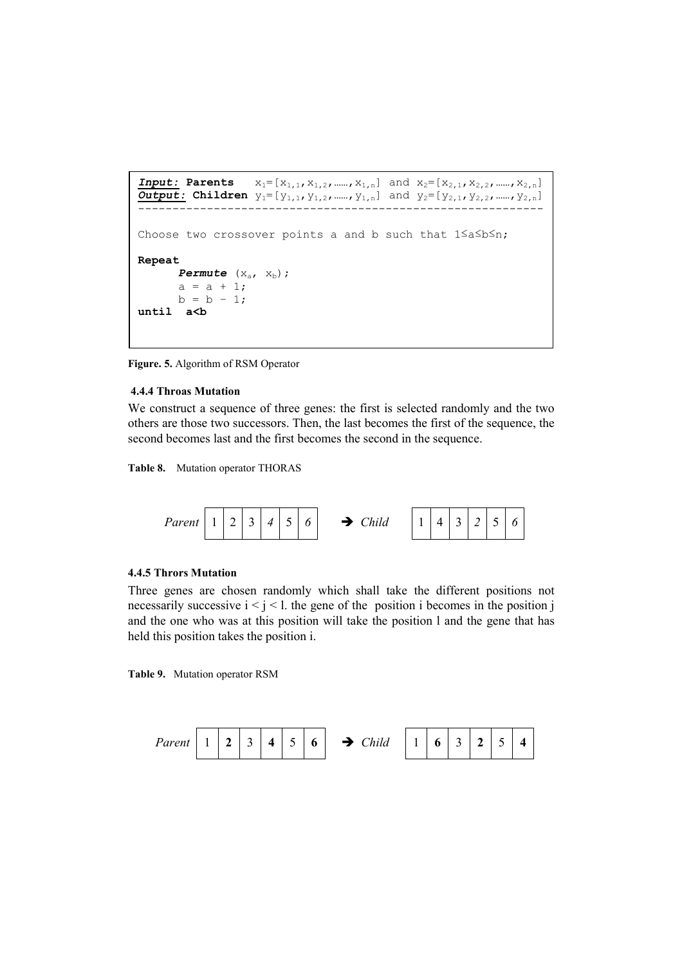```
Input: Parents x_1 = [x_{1,1}, x_{1,2}, \dots, x_{1,n}] and x_2 = [x_{2,1}, x_{2,2}, \dots, x_{2,n}]Output: Children y_1 = [y_{1,1}, y_{1,2}, \dots, y_{1,n}] and y_2 = [y_{2,1}, y_{2,2}, \dots, y_{2,n}]----------------------------------------------------------- 
Choose two crossover points a and b such that 1≤a≤b≤n; 
Repeat 
       Permute (X_a, X_b);
       a = a + 1;b = b - 1;until a<br/>b
```
Figure. 5. Algorithm of RSM Operator

### 4.4.4 Throas Mutation

We construct a sequence of three genes: the first is selected randomly and the two others are those two successors. Then, the last becomes the first of the sequence, the second becomes last and the first becomes the second in the sequence.

Table 8. Mutation operator THORAS



### 4.4.5 Thrors Mutation

Three genes are chosen randomly which shall take the different positions not necessarily successive  $i < j < l$ . the gene of the position i becomes in the position j and the one who was at this position will take the position l and the gene that has held this position takes the position i.

Table 9. Mutation operator RSM

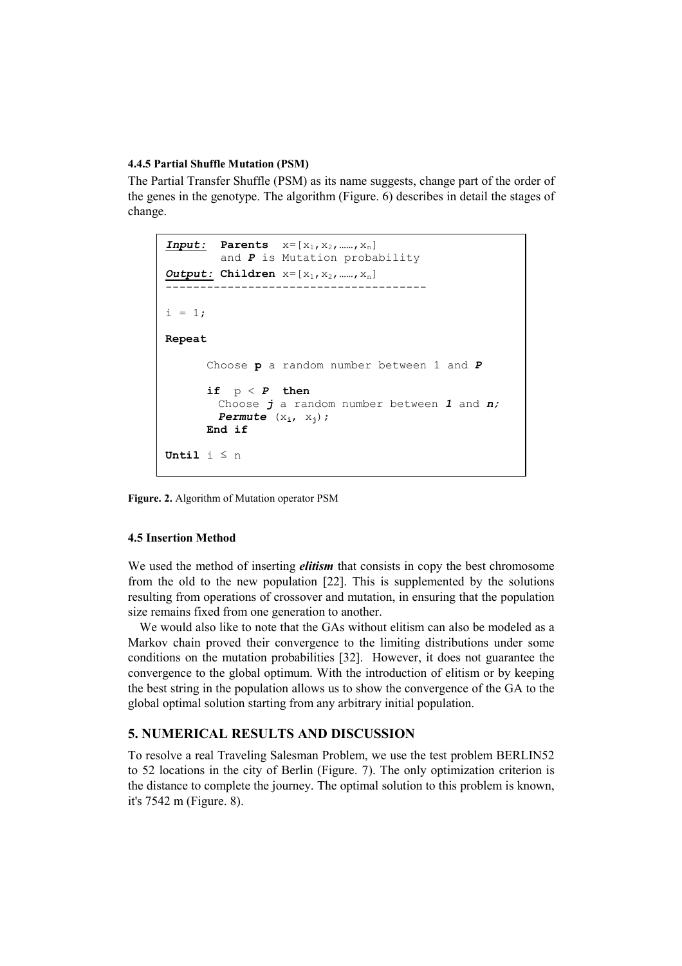#### 4.4.5 Partial Shuffle Mutation (PSM)

The Partial Transfer Shuffle (PSM) as its name suggests, change part of the order of the genes in the genotype. The algorithm (Figure. 6) describes in detail the stages of change.

```
Input: Parents x=[x_1, x_2, \dots, x_n]and P is Mutation probability
Output: Children x=[x_1, x_2, \dots, x_n]-------------------------------------- 
i = 1:
Repeat 
      Choose p a random number between 1 and P
      if p < P then
        Choose j a random number between 1 and n;
        Permute (x_i, x_j);
      End if 
Until i \leq n
```
Figure. 2. Algorithm of Mutation operator PSM

#### 4.5 Insertion Method

We used the method of inserting *elitism* that consists in copy the best chromosome from the old to the new population [22]. This is supplemented by the solutions resulting from operations of crossover and mutation, in ensuring that the population size remains fixed from one generation to another.

We would also like to note that the GAs without elitism can also be modeled as a Markov chain proved their convergence to the limiting distributions under some conditions on the mutation probabilities [32]. However, it does not guarantee the convergence to the global optimum. With the introduction of elitism or by keeping the best string in the population allows us to show the convergence of the GA to the global optimal solution starting from any arbitrary initial population.

# 5. NUMERICAL RESULTS AND DISCUSSION

To resolve a real Traveling Salesman Problem, we use the test problem BERLIN52 to 52 locations in the city of Berlin (Figure. 7). The only optimization criterion is the distance to complete the journey. The optimal solution to this problem is known, it's 7542 m (Figure. 8).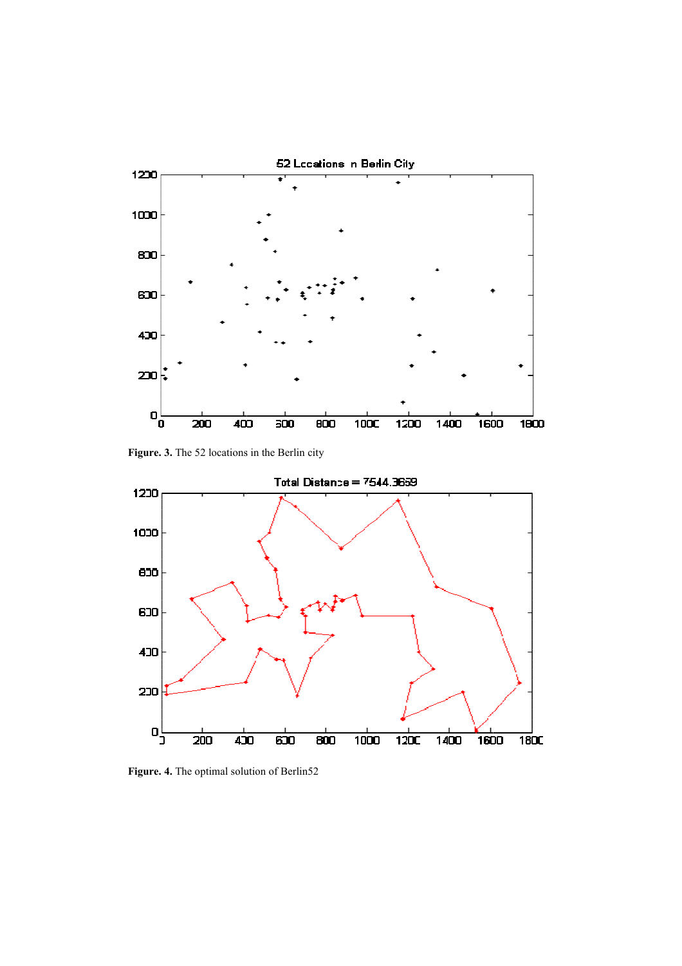

Figure. 3. The 52 locations in the Berlin city



Figure. 4. The optimal solution of Berlin52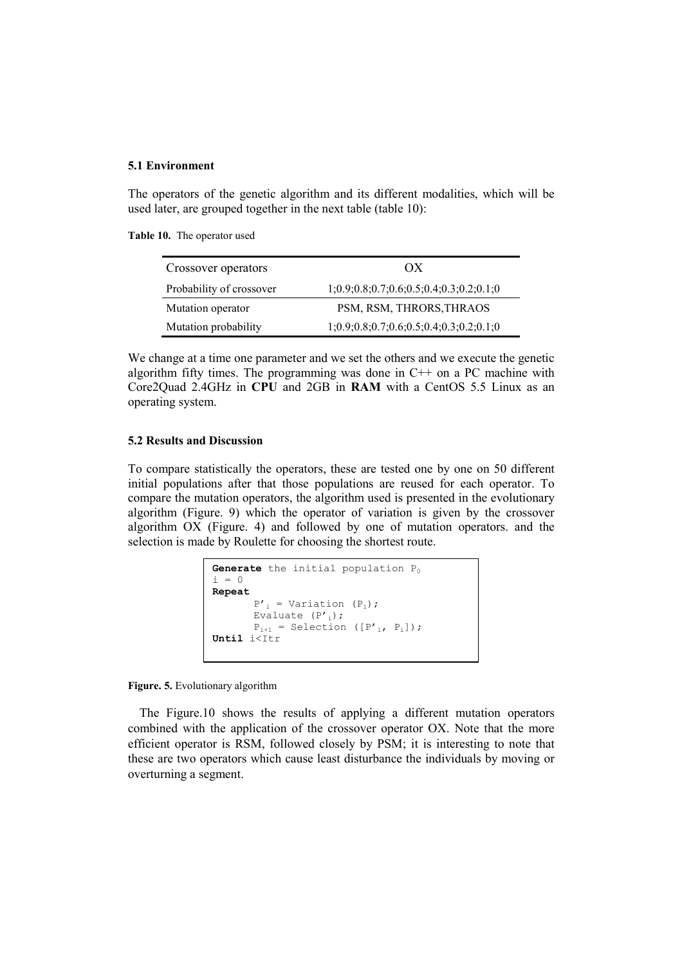#### 5.1 Environment

The operators of the genetic algorithm and its different modalities, which will be used later, are grouped together in the next table (table 10):

Table 10. The operator used

| Crossover operators      | O(X)                                      |  |  |  |
|--------------------------|-------------------------------------------|--|--|--|
| Probability of crossover | $1;0.9;0.8;0.7;0.6;0.5;0.4;0.3;0.2;0.1;0$ |  |  |  |
| Mutation operator        | PSM, RSM, THRORS, THRAOS                  |  |  |  |
| Mutation probability     | $1;0.9;0.8;0.7;0.6;0.5;0.4;0.3;0.2;0.1;0$ |  |  |  |

We change at a time one parameter and we set the others and we execute the genetic algorithm fifty times. The programming was done in  $C++$  on a PC machine with Core2Quad 2.4GHz in CPU and 2GB in RAM with a CentOS 5.5 Linux as an operating system.

#### 5.2 Results and Discussion

To compare statistically the operators, these are tested one by one on 50 different initial populations after that those populations are reused for each operator. To compare the mutation operators, the algorithm used is presented in the evolutionary algorithm (Figure. 9) which the operator of variation is given by the crossover algorithm OX (Figure. 4) and followed by one of mutation operators. and the selection is made by Roulette for choosing the shortest route.

```
Generate the initial population P_0i = 0Repeat 
        P'<sub>i</sub> = Variation (P<sub>i</sub>);
        Evaluate (P', r');
         P_{i+1} = Selection ([P'<sub>i</sub>, P<sub>i</sub>]);
Until i<Itr
```
Figure. 5. Evolutionary algorithm

The Figure.10 shows the results of applying a different mutation operators combined with the application of the crossover operator OX. Note that the more efficient operator is RSM, followed closely by PSM; it is interesting to note that these are two operators which cause least disturbance the individuals by moving or overturning a segment.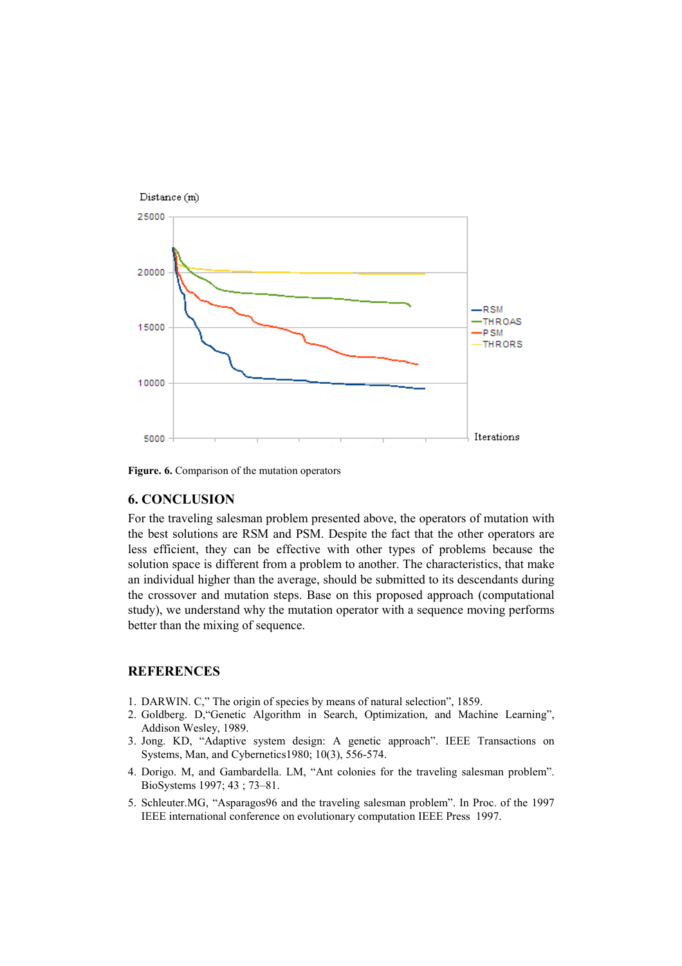

Figure. 6. Comparison of the mutation operators

## 6. CONCLUSION

For the traveling salesman problem presented above, the operators of mutation with the best solutions are RSM and PSM. Despite the fact that the other operators are less efficient, they can be effective with other types of problems because the solution space is different from a problem to another. The characteristics, that make an individual higher than the average, should be submitted to its descendants during the crossover and mutation steps. Base on this proposed approach (computational study), we understand why the mutation operator with a sequence moving performs better than the mixing of sequence.

## **REFERENCES**

- 1. DARWIN. C," The origin of species by means of natural selection", 1859.
- 2. Goldberg. D,"Genetic Algorithm in Search, Optimization, and Machine Learning", Addison Wesley, 1989.
- 3. Jong. KD, "Adaptive system design: A genetic approach". IEEE Transactions on Systems, Man, and Cybernetics1980; 10(3), 556-574.
- 4. Dorigo. M, and Gambardella. LM, "Ant colonies for the traveling salesman problem". BioSystems 1997; 43 ; 73–81.
- 5. Schleuter.MG, "Asparagos96 and the traveling salesman problem". In Proc. of the 1997 IEEE international conference on evolutionary computation IEEE Press 1997.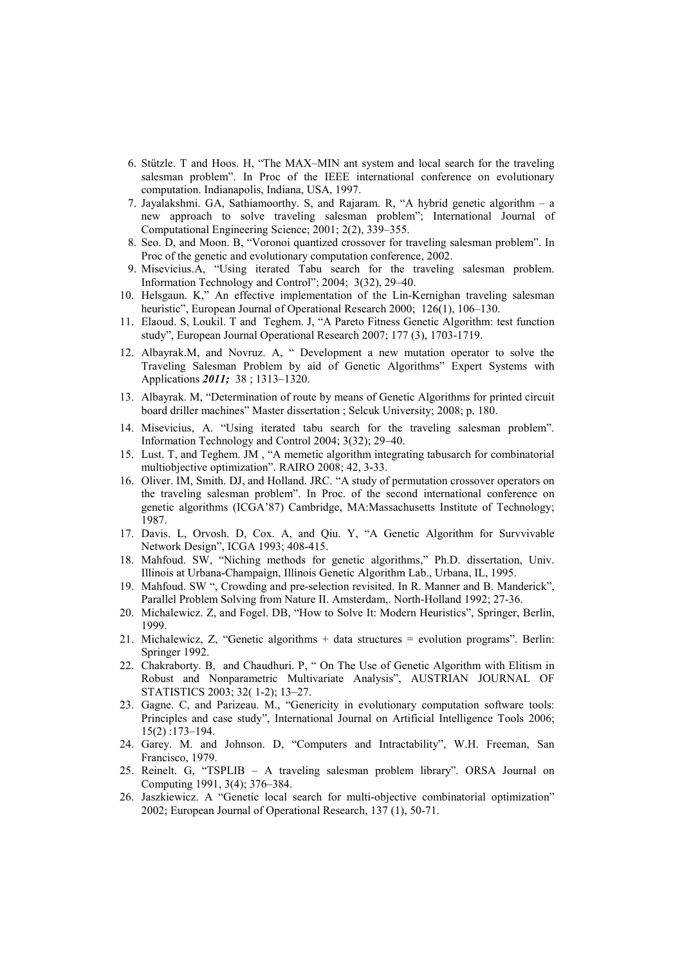- 6. Stützle. T and Hoos. H, "The MAX–MIN ant system and local search for the traveling salesman problem". In Proc of the IEEE international conference on evolutionary computation. Indianapolis, Indiana, USA, 1997.
- 7. Jayalakshmi. GA, Sathiamoorthy. S, and Rajaram. R, "A hybrid genetic algorithm a new approach to solve traveling salesman problem"; International Journal of Computational Engineering Science; 2001; 2(2), 339–355.
- 8. Seo. D, and Moon. B, "Voronoi quantized crossover for traveling salesman problem". In Proc of the genetic and evolutionary computation conference, 2002.
- 9. Misevicius.A, "Using iterated Tabu search for the traveling salesman problem. Information Technology and Control"; 2004; 3(32), 29–40.
- 10. Helsgaun. K," An effective implementation of the Lin-Kernighan traveling salesman heuristic", European Journal of Operational Research 2000; 126(1), 106–130.
- 11. Elaoud. S, Loukil. T and Teghem. J, "A Pareto Fitness Genetic Algorithm: test function study", European Journal Operational Research 2007; 177 (3), 1703-1719.
- 12. Albayrak.M, and Novruz. A, " Development a new mutation operator to solve the Traveling Salesman Problem by aid of Genetic Algorithms" Expert Systems with Applications 2011; 38 ; 1313–1320.
- 13. Albayrak. M, "Determination of route by means of Genetic Algorithms for printed circuit board driller machines" Master dissertation ; Selcuk University; 2008; p. 180.
- 14. Misevicius, A. "Using iterated tabu search for the traveling salesman problem". Information Technology and Control 2004; 3(32); 29–40.
- 15. Lust. T, and Teghem. JM , "A memetic algorithm integrating tabusarch for combinatorial multiobjective optimization". RAIRO 2008; 42, 3-33.
- 16. Oliver. IM, Smith. DJ, and Holland. JRC. "A study of permutation crossover operators on the traveling salesman problem". In Proc. of the second international conference on genetic algorithms (ICGA'87) Cambridge, MA:Massachusetts Institute of Technology; 1987.
- 17. Davis. L, Orvosh. D, Cox. A, and Qiu. Y, "A Genetic Algorithm for Survvivable Network Design", ICGA 1993; 408-415.
- 18. Mahfoud. SW, "Niching methods for genetic algorithms," Ph.D. dissertation, Univ. Illinois at Urbana-Champaign, Illinois Genetic Algorithm Lab., Urbana, IL, 1995.
- 19. Mahfoud. SW ", Crowding and pre-selection revisited. In R. Manner and B. Manderick", Parallel Problem Solving from Nature II. Amsterdam,. North-Holland 1992; 27-36.
- 20. Michalewicz. Z, and Fogel. DB, "How to Solve It: Modern Heuristics", Springer, Berlin, 1999.
- 21. Michalewicz, Z, "Genetic algorithms + data structures = evolution programs". Berlin: Springer 1992.
- 22. Chakraborty. B, and Chaudhuri. P, " On The Use of Genetic Algorithm with Elitism in Robust and Nonparametric Multivariate Analysis", AUSTRIAN JOURNAL OF STATISTICS 2003; 32( 1-2); 13–27.
- 23. Gagne. C, and Parizeau. M., "Genericity in evolutionary computation software tools: Principles and case study", International Journal on Artificial Intelligence Tools 2006; 15(2) :173–194.
- 24. Garey. M. and Johnson. D, "Computers and Intractability", W.H. Freeman, San Francisco, 1979.
- 25. Reinelt. G, "TSPLIB A traveling salesman problem library". ORSA Journal on Computing 1991, 3(4); 376–384.
- 26. Jaszkiewicz. A "Genetic local search for multi-objective combinatorial optimization" 2002; European Journal of Operational Research, 137 (1), 50-71.